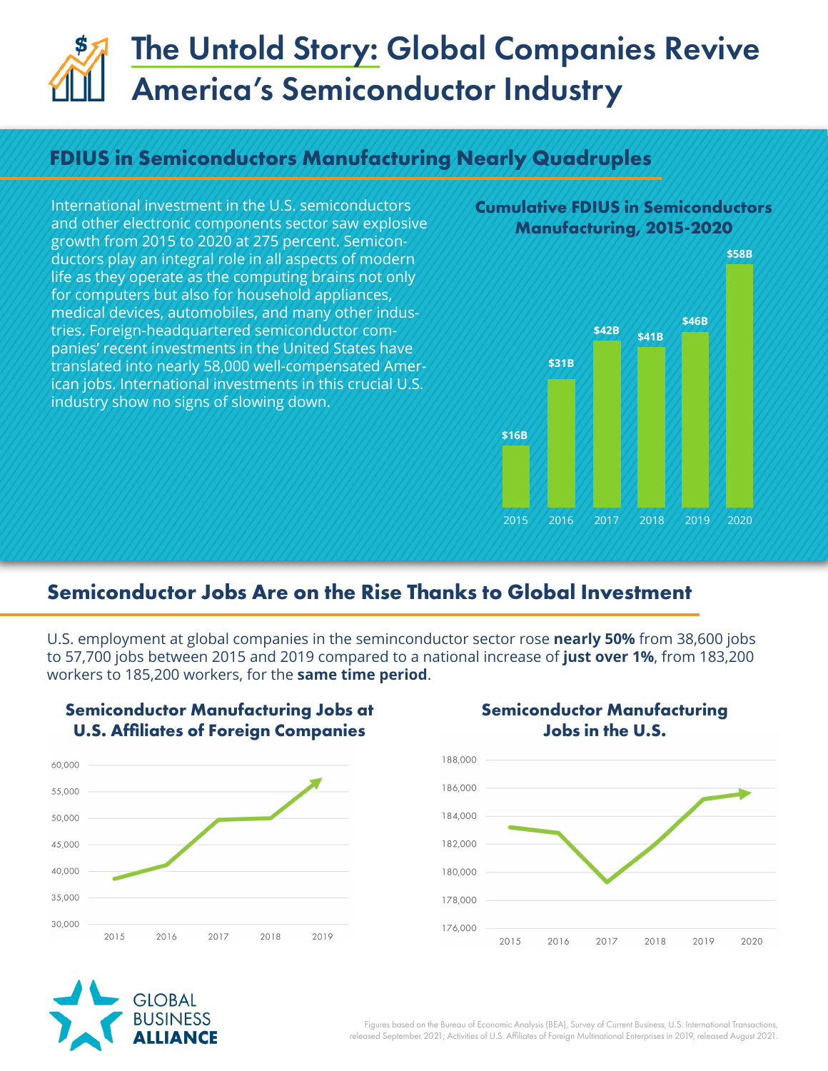# The Untold Story: Global Companies Revive America's Semiconductor Industry

## **FDIUS in Semiconductors Manufacturing Nearly Quadruples**

International investment in the U.S. semiconductors and other electronic components sector saw explosive growth from 2015 to 2020 at 275 percent. Semiconductors play an integral role in all aspects of modern life as they operate as the computing brains not only for computers but also for household appliances, medical devices, automobiles, and many other industries. Foreign-headquartered semiconductor companies' recent investments in the United States have translated into nearly 58,000 well-compensated American jobs. International investments in this crucial U.S. industry show no signs of slowing down.

**Cumulative FDIUS in Semiconductors Manufacturing, 2015-2020**



## **Semiconductor Jobs Are on the Rise Thanks to Global Investment**

U.S. employment at global companies in the seminconductor sector rose **nearly 50%** from 38,600 jobs to 57,700 jobs between 2015 and 2019 compared to a national increase of **just over 1%**, from 183,200 workers to 185,200 workers, for the **same time period**.



**Semiconductor Manufacturing Jobs at**